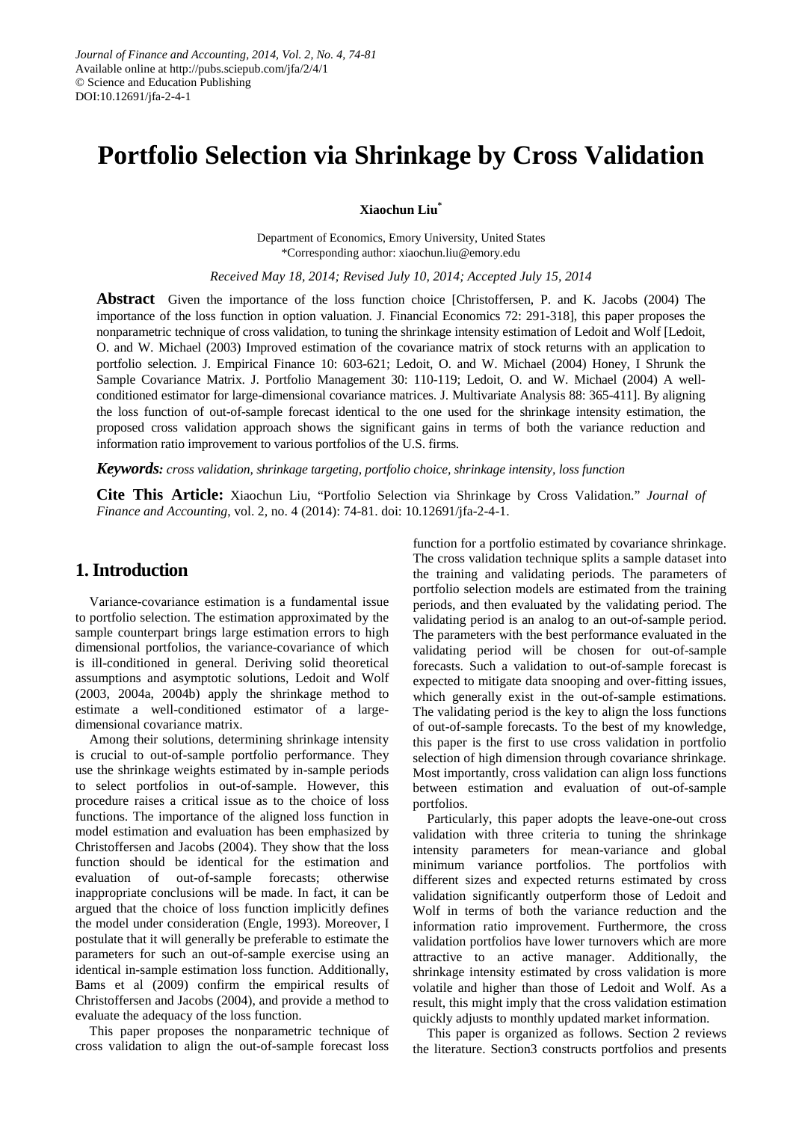# **Portfolio Selection via Shrinkage by Cross Validation**

**Xiaochun Liu\***

Department of Economics, Emory University, United States \*Corresponding author: xiaochun.liu@emory.edu

*Received May 18, 2014; Revised July 10, 2014; Accepted July 15, 2014*

**Abstract** Given the importance of the loss function choice [Christoffersen, P. and K. Jacobs (2004) The importance of the loss function in option valuation. J. Financial Economics 72: 291-318], this paper proposes the nonparametric technique of cross validation, to tuning the shrinkage intensity estimation of Ledoit and Wolf [Ledoit, O. and W. Michael (2003) Improved estimation of the covariance matrix of stock returns with an application to portfolio selection. J. Empirical Finance 10: 603-621; Ledoit, O. and W. Michael (2004) Honey, I Shrunk the Sample Covariance Matrix. J. Portfolio Management 30: 110-119; Ledoit, O. and W. Michael (2004) A wellconditioned estimator for large-dimensional covariance matrices. J. Multivariate Analysis 88: 365-411]. By aligning the loss function of out-of-sample forecast identical to the one used for the shrinkage intensity estimation, the proposed cross validation approach shows the significant gains in terms of both the variance reduction and information ratio improvement to various portfolios of the U.S. firms.

*Keywords: cross validation, shrinkage targeting, portfolio choice, shrinkage intensity, loss function*

**Cite This Article:** Xiaochun Liu, "Portfolio Selection via Shrinkage by Cross Validation." *Journal of Finance and Accounting*, vol. 2, no. 4 (2014): 74-81. doi: 10.12691/jfa-2-4-1.

# **1. Introduction**

Variance-covariance estimation is a fundamental issue to portfolio selection. The estimation approximated by the sample counterpart brings large estimation errors to high dimensional portfolios, the variance-covariance of which is ill-conditioned in general. Deriving solid theoretical assumptions and asymptotic solutions, Ledoit and Wolf (2003, 2004a, 2004b) apply the shrinkage method to estimate a well-conditioned estimator of a largedimensional covariance matrix.

Among their solutions, determining shrinkage intensity is crucial to out-of-sample portfolio performance. They use the shrinkage weights estimated by in-sample periods to select portfolios in out-of-sample. However, this procedure raises a critical issue as to the choice of loss functions. The importance of the aligned loss function in model estimation and evaluation has been emphasized by Christoffersen and Jacobs (2004). They show that the loss function should be identical for the estimation and evaluation of out-of-sample forecasts; otherwise inappropriate conclusions will be made. In fact, it can be argued that the choice of loss function implicitly defines the model under consideration (Engle, 1993). Moreover, I postulate that it will generally be preferable to estimate the parameters for such an out-of-sample exercise using an identical in-sample estimation loss function. Additionally, Bams et al (2009) confirm the empirical results of Christoffersen and Jacobs (2004), and provide a method to evaluate the adequacy of the loss function.

This paper proposes the nonparametric technique of cross validation to align the out-of-sample forecast loss

function for a portfolio estimated by covariance shrinkage. The cross validation technique splits a sample dataset into the training and validating periods. The parameters of portfolio selection models are estimated from the training periods, and then evaluated by the validating period. The validating period is an analog to an out-of-sample period. The parameters with the best performance evaluated in the validating period will be chosen for out-of-sample forecasts. Such a validation to out-of-sample forecast is expected to mitigate data snooping and over-fitting issues, which generally exist in the out-of-sample estimations. The validating period is the key to align the loss functions of out-of-sample forecasts. To the best of my knowledge, this paper is the first to use cross validation in portfolio selection of high dimension through covariance shrinkage. Most importantly, cross validation can align loss functions between estimation and evaluation of out-of-sample portfolios.

Particularly, this paper adopts the leave-one-out cross validation with three criteria to tuning the shrinkage intensity parameters for mean-variance and global minimum variance portfolios. The portfolios with different sizes and expected returns estimated by cross validation significantly outperform those of Ledoit and Wolf in terms of both the variance reduction and the information ratio improvement. Furthermore, the cross validation portfolios have lower turnovers which are more attractive to an active manager. Additionally, the shrinkage intensity estimated by cross validation is more volatile and higher than those of Ledoit and Wolf. As a result, this might imply that the cross validation estimation quickly adjusts to monthly updated market information.

This paper is organized as follows. Section 2 reviews the literature. Section3 constructs portfolios and presents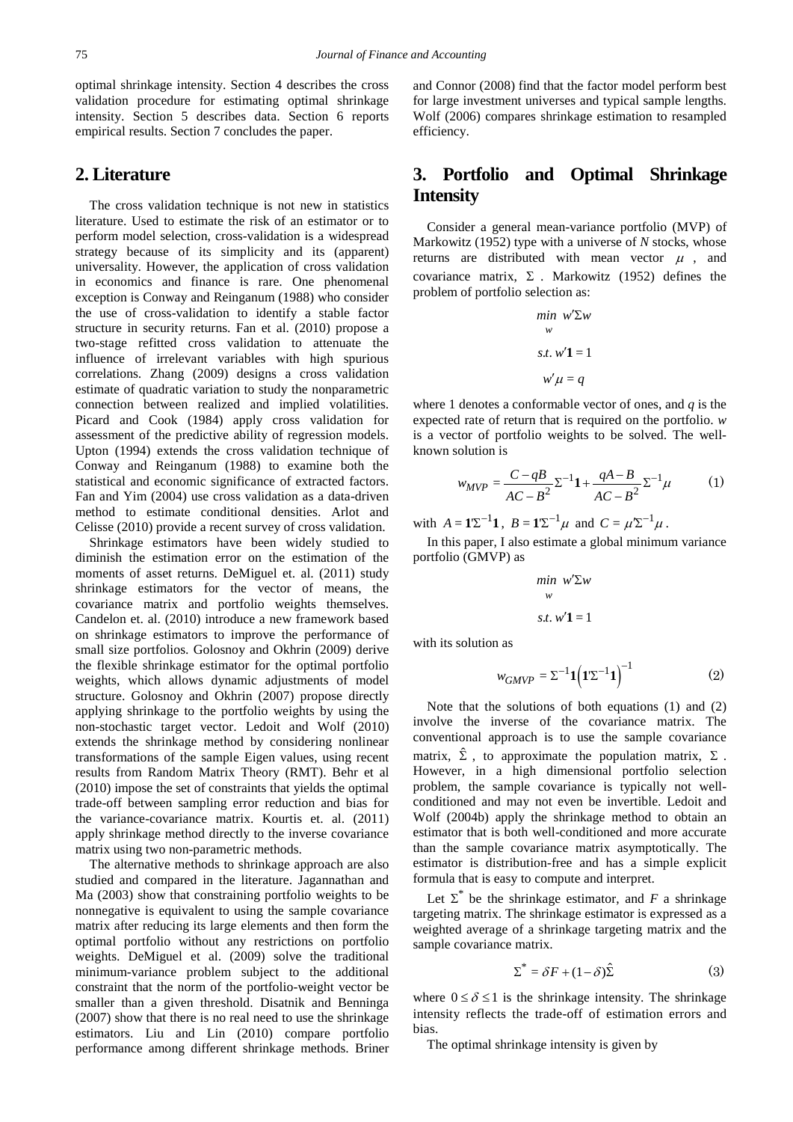optimal shrinkage intensity. Section 4 describes the cross validation procedure for estimating optimal shrinkage intensity. Section 5 describes data. Section 6 reports empirical results. Section 7 concludes the paper.

## **2. Literature**

The cross validation technique is not new in statistics literature. Used to estimate the risk of an estimator or to perform model selection, cross-validation is a widespread strategy because of its simplicity and its (apparent) universality. However, the application of cross validation in economics and finance is rare. One phenomenal exception is Conway and Reinganum (1988) who consider the use of cross-validation to identify a stable factor structure in security returns. Fan et al. (2010) propose a two-stage refitted cross validation to attenuate the influence of irrelevant variables with high spurious correlations. Zhang (2009) designs a cross validation estimate of quadratic variation to study the nonparametric connection between realized and implied volatilities. Picard and Cook (1984) apply cross validation for assessment of the predictive ability of regression models. Upton (1994) extends the cross validation technique of Conway and Reinganum (1988) to examine both the statistical and economic significance of extracted factors. Fan and Yim (2004) use cross validation as a data-driven method to estimate conditional densities. Arlot and Celisse (2010) provide a recent survey of cross validation.

Shrinkage estimators have been widely studied to diminish the estimation error on the estimation of the moments of asset returns. DeMiguel et. al. (2011) study shrinkage estimators for the vector of means, the covariance matrix and portfolio weights themselves. Candelon et. al. (2010) introduce a new framework based on shrinkage estimators to improve the performance of small size portfolios. Golosnoy and Okhrin (2009) derive the flexible shrinkage estimator for the optimal portfolio weights, which allows dynamic adjustments of model structure. Golosnoy and Okhrin (2007) propose directly applying shrinkage to the portfolio weights by using the non-stochastic target vector. Ledoit and Wolf (2010) extends the shrinkage method by considering nonlinear transformations of the sample Eigen values, using recent results from Random Matrix Theory (RMT). Behr et al (2010) impose the set of constraints that yields the optimal trade-off between sampling error reduction and bias for the variance-covariance matrix. Kourtis et. al. (2011) apply shrinkage method directly to the inverse covariance matrix using two non-parametric methods.

The alternative methods to shrinkage approach are also studied and compared in the literature. Jagannathan and Ma (2003) show that constraining portfolio weights to be nonnegative is equivalent to using the sample covariance matrix after reducing its large elements and then form the optimal portfolio without any restrictions on portfolio weights. DeMiguel et al. (2009) solve the traditional minimum-variance problem subject to the additional constraint that the norm of the portfolio-weight vector be smaller than a given threshold. Disatnik and Benninga (2007) show that there is no real need to use the shrinkage estimators. Liu and Lin (2010) compare portfolio performance among different shrinkage methods. Briner and Connor (2008) find that the factor model perform best for large investment universes and typical sample lengths. Wolf (2006) compares shrinkage estimation to resampled efficiency.

# **3. Portfolio and Optimal Shrinkage Intensity**

Consider a general mean-variance portfolio (MVP) of Markowitz (1952) type with a universe of *N* stocks, whose returns are distributed with mean vector  $\mu$ , and covariance matrix,  $\Sigma$ . Markowitz (1952) defines the problem of portfolio selection as:

$$
\min_{w} w' \Sigma w
$$

$$
s.t. w'1 = 1
$$

$$
w' \mu = q
$$

where 1 denotes a conformable vector of ones, and *q* is the expected rate of return that is required on the portfolio. *w* is a vector of portfolio weights to be solved. The wellknown solution is

$$
w_{MVP} = \frac{C - qB}{AC - B^2} \Sigma^{-1} \mathbf{1} + \frac{qA - B}{AC - B^2} \Sigma^{-1} \mu
$$
 (1)

with  $A = 1 \Sigma^{-1} 1$ ,  $B = 1 \Sigma^{-1} \mu$  and  $C = \mu' \Sigma^{-1} \mu$ .

In this paper, I also estimate a global minimum variance portfolio (GMVP) as

$$
\min_{w} w' \sum w
$$
  
s.t.  $w'1 = 1$ 

with its solution as

$$
w_{GMVP} = \Sigma^{-1} \mathbf{1} \left( \mathbf{1} \Sigma^{-1} \mathbf{1} \right)^{-1} \tag{2}
$$

Note that the solutions of both equations (1) and (2) involve the inverse of the covariance matrix. The conventional approach is to use the sample covariance matrix,  $\hat{\Sigma}$ , to approximate the population matrix,  $\Sigma$ . However, in a high dimensional portfolio selection problem, the sample covariance is typically not wellconditioned and may not even be invertible. Ledoit and Wolf (2004b) apply the shrinkage method to obtain an estimator that is both well-conditioned and more accurate than the sample covariance matrix asymptotically. The estimator is distribution-free and has a simple explicit formula that is easy to compute and interpret.

Let  $\Sigma^*$  be the shrinkage estimator, and *F* a shrinkage targeting matrix. The shrinkage estimator is expressed as a weighted average of a shrinkage targeting matrix and the sample covariance matrix.

$$
\Sigma^* = \delta F + (1 - \delta)\hat{\Sigma} \tag{3}
$$

where  $0 \le \delta \le 1$  is the shrinkage intensity. The shrinkage intensity reflects the trade-off of estimation errors and bias.

The optimal shrinkage intensity is given by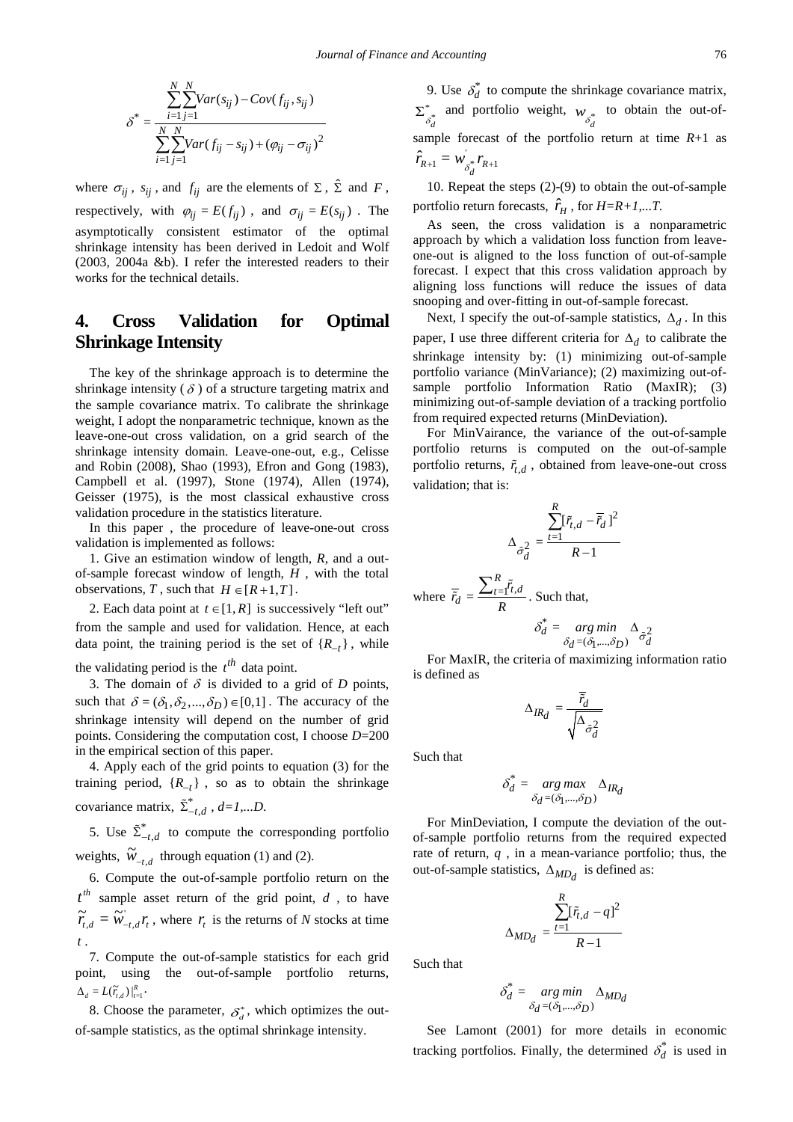$$
\delta^* = \frac{\sum_{i=1}^{N} \sum_{j=1}^{N} Var(s_{ij}) - Cov(f_{ij}, s_{ij})}{\sum_{i=1}^{N} \sum_{j=1}^{N} Var(f_{ij} - s_{ij}) + (\varphi_{ij} - \sigma_{ij})^2}
$$

where  $\sigma_{ij}$ ,  $s_{ij}$ , and  $f_{ij}$  are the elements of  $\Sigma$ ,  $\hat{\Sigma}$  and  $F$ , respectively, with  $\varphi_{ij} = E(f_{ij})$ , and  $\sigma_{ij} = E(s_{ij})$ . The asymptotically consistent estimator of the optimal shrinkage intensity has been derived in Ledoit and Wolf (2003, 2004a &b). I refer the interested readers to their works for the technical details.

# **4. Cross Validation for Optimal Shrinkage Intensity**

The key of the shrinkage approach is to determine the shrinkage intensity  $(\delta)$  of a structure targeting matrix and the sample covariance matrix. To calibrate the shrinkage weight, I adopt the nonparametric technique, known as the leave-one-out cross validation, on a grid search of the shrinkage intensity domain. Leave-one-out, e.g., Celisse and Robin (2008), Shao (1993), Efron and Gong (1983), Campbell et al. (1997), Stone (1974), Allen (1974), Geisser (1975), is the most classical exhaustive cross validation procedure in the statistics literature.

In this paper , the procedure of leave-one-out cross validation is implemented as follows:

1. Give an estimation window of length, *R*, and a outof-sample forecast window of length, *H* , with the total observations, *T*, such that  $H \in [R+1, T]$ .

2. Each data point at  $t \in [1, R]$  is successively "left out" from the sample and used for validation. Hence, at each data point, the training period is the set of  $\{R_{-t}\}\,$ , while

the validating period is the  $t^{th}$  data point.

3. The domain of  $\delta$  is divided to a grid of  $D$  points, such that  $\delta = (\delta_1, \delta_2, ..., \delta_D) \in [0,1]$ . The accuracy of the shrinkage intensity will depend on the number of grid points. Considering the computation cost, I choose *D*=200 in the empirical section of this paper.

4. Apply each of the grid points to equation (3) for the training period,  ${R_{-t}}$ , so as to obtain the shrinkage covariance matrix,  $\tilde{\Sigma}_{-t,d}^*$ ,  $d=1,...D$ .

5. Use  $\tilde{\Sigma}_{-t.d}^{*}$  to compute the corresponding portfolio weights,  $\widetilde{W}_{-t,d}$  through equation (1) and (2).

6. Compute the out-of-sample portfolio return on the  $t^{th}$  sample asset return of the grid point, *d*, to have  $\widetilde{r}_{t,d} = \widetilde{w}_{-t,d}^{\prime} r_t$ , where  $r_t$  is the returns of *N* stocks at time *t* .

7. Compute the out-of-sample statistics for each grid point, using the out-of-sample portfolio returns,  $\Delta_d = L(\widetilde{r}_{t,d}) \big|_{t=1}^R$ .

8. Choose the parameter,  $\delta_d^*$ , which optimizes the outof-sample statistics, as the optimal shrinkage intensity.

9. Use  $\delta_d^*$  to compute the shrinkage covariance matrix,  $\sum_{\substack{s \ \delta d}}^*$  and portfolio weight,  $w_{\delta_d^*}$  to obtain the out-ofsample forecast of the portfolio return at time *R*+1 as  $\hat{r}_{R+1} = w_{\delta_d^*}^* r_{R+1}$ 

10. Repeat the steps (2)-(9) to obtain the out-of-sample portfolio return forecasts,  $\hat{r}_H$ , for  $H=R+1,...T$ .

As seen, the cross validation is a nonparametric approach by which a validation loss function from leaveone-out is aligned to the loss function of out-of-sample forecast. I expect that this cross validation approach by aligning loss functions will reduce the issues of data snooping and over-fitting in out-of-sample forecast.

Next, I specify the out-of-sample statistics, ∆*<sup>d</sup>* . In this paper, I use three different criteria for ∆*<sup>d</sup>* to calibrate the shrinkage intensity by: (1) minimizing out-of-sample portfolio variance (MinVariance); (2) maximizing out-ofsample portfolio Information Ratio (MaxIR); (3) minimizing out-of-sample deviation of a tracking portfolio from required expected returns (MinDeviation).

For MinVairance, the variance of the out-of-sample portfolio returns is computed on the out-of-sample portfolio returns,  $\tilde{r}_{t,d}$ , obtained from leave-one-out cross validation; that is:

$$
\Delta_{\tilde{\sigma}_d^2} = \frac{\sum_{t=1}^R [\tilde{r}_{t,d} - \overline{\tilde{r}}_d]^2}{R - 1}
$$

where  $\overline{\tilde{r}}_d = \frac{\sum_{t=1}^t r_t}{n}$ *R*  $\overline{\tilde{r}}_d = \frac{\sum_{t=1}^R \tilde{r}_{t,d}}{R}$ . Such that,

$$
\delta_d^* = \underset{\delta_d = (\delta_1, \ldots, \delta_D)}{\arg\min} \Delta_{\tilde{\sigma}_d^2}
$$

For MaxIR, the criteria of maximizing information ratio is defined as

$$
\Delta_{IR_d} = \frac{\overline{\tilde{r}_d}}{\sqrt{\Delta_{\tilde{\sigma}_d^2}}}
$$

Such that

$$
\delta_d^* = \underset{\delta_d = (\delta_1, \ldots, \delta_D)}{\arg \max} \Delta_{IR_d}
$$

For MinDeviation, I compute the deviation of the outof-sample portfolio returns from the required expected rate of return, *q* , in a mean-variance portfolio; thus, the out-of-sample statistics,  $\Delta_{MD_d}$  is defined as:

$$
\Delta_{MD_d} = \frac{\sum_{t=1}^{R} [\tilde{r}_{t,d} - q]^2}{R - 1}
$$

Such that

$$
\delta_d^* = \underset{\delta_d = (\delta_1, \ldots, \delta_D)}{\arg \ min} \Delta_{MD_d}
$$

See Lamont (2001) for more details in economic tracking portfolios. Finally, the determined  $\delta_d^*$  is used in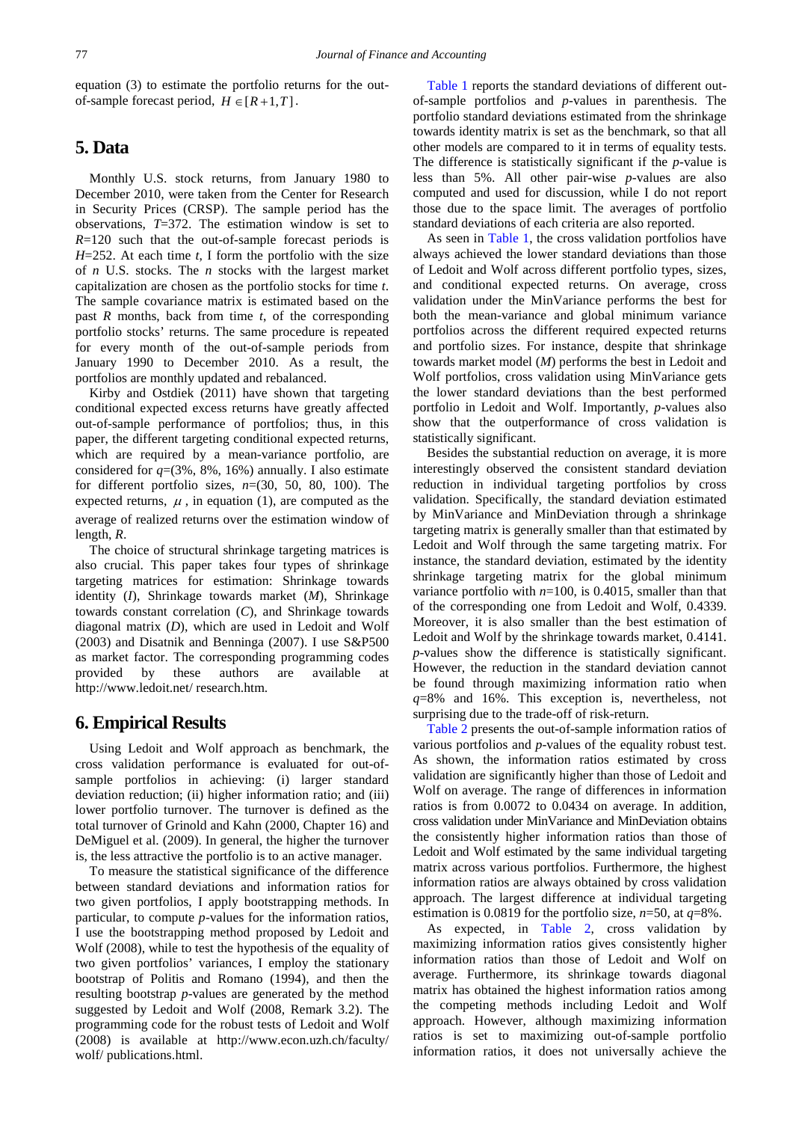equation (3) to estimate the portfolio returns for the outof-sample forecast period,  $H \in [R+1, T]$ .

# **5. Data**

Monthly U.S. stock returns, from January 1980 to December 2010, were taken from the Center for Research in Security Prices (CRSP). The sample period has the observations, *T*=372. The estimation window is set to *R*=120 such that the out-of-sample forecast periods is *H*=252. At each time *t*, I form the portfolio with the size of *n* U.S. stocks. The *n* stocks with the largest market capitalization are chosen as the portfolio stocks for time *t*. The sample covariance matrix is estimated based on the past *R* months, back from time *t*, of the corresponding portfolio stocks' returns. The same procedure is repeated for every month of the out-of-sample periods from January 1990 to December 2010. As a result, the portfolios are monthly updated and rebalanced.

Kirby and Ostdiek (2011) have shown that targeting conditional expected excess returns have greatly affected out-of-sample performance of portfolios; thus, in this paper, the different targeting conditional expected returns, which are required by a mean-variance portfolio, are considered for  $q=(3\%, 8\%, 16\%)$  annually. I also estimate for different portfolio sizes, *n*=(30, 50, 80, 100). The expected returns,  $\mu$ , in equation (1), are computed as the average of realized returns over the estimation window of length, *R*.

The choice of structural shrinkage targeting matrices is also crucial. This paper takes four types of shrinkage targeting matrices for estimation: Shrinkage towards identity (*I*), Shrinkage towards market (*M*), Shrinkage towards constant correlation (*C*), and Shrinkage towards diagonal matrix (*D*), which are used in Ledoit and Wolf (2003) and Disatnik and Benninga (2007). I use S&P500 as market factor. The corresponding programming codes provided by these authors are available http://www.ledoit.net/ research.htm.

#### **6. Empirical Results**

Using Ledoit and Wolf approach as benchmark, the cross validation performance is evaluated for out-ofsample portfolios in achieving: (i) larger standard deviation reduction; (ii) higher information ratio; and (iii) lower portfolio turnover. The turnover is defined as the total turnover of Grinold and Kahn (2000, Chapter 16) and DeMiguel et al. (2009). In general, the higher the turnover is, the less attractive the portfolio is to an active manager.

To measure the statistical significance of the difference between standard deviations and information ratios for two given portfolios, I apply bootstrapping methods. In particular, to compute *p*-values for the information ratios, I use the bootstrapping method proposed by Ledoit and Wolf (2008), while to test the hypothesis of the equality of two given portfolios' variances, I employ the stationary bootstrap of Politis and Romano (1994), and then the resulting bootstrap *p*-values are generated by the method suggested by Ledoit and Wolf (2008, Remark 3.2). The programming code for the robust tests of Ledoit and Wolf (2008) is available at http://www.econ.uzh.ch/faculty/ wolf/ publications.html.

[Table 1](#page-4-0) reports the standard deviations of different outof-sample portfolios and *p*-values in parenthesis. The portfolio standard deviations estimated from the shrinkage towards identity matrix is set as the benchmark, so that all other models are compared to it in terms of equality tests. The difference is statistically significant if the *p*-value is less than 5%. All other pair-wise *p*-values are also computed and used for discussion, while I do not report those due to the space limit. The averages of portfolio standard deviations of each criteria are also reported.

As seen in [Table 1,](#page-4-0) the cross validation portfolios have always achieved the lower standard deviations than those of Ledoit and Wolf across different portfolio types, sizes, and conditional expected returns. On average, cross validation under the MinVariance performs the best for both the mean-variance and global minimum variance portfolios across the different required expected returns and portfolio sizes. For instance, despite that shrinkage towards market model (*M*) performs the best in Ledoit and Wolf portfolios, cross validation using MinVariance gets the lower standard deviations than the best performed portfolio in Ledoit and Wolf. Importantly, *p*-values also show that the outperformance of cross validation is statistically significant.

Besides the substantial reduction on average, it is more interestingly observed the consistent standard deviation reduction in individual targeting portfolios by cross validation. Specifically, the standard deviation estimated by MinVariance and MinDeviation through a shrinkage targeting matrix is generally smaller than that estimated by Ledoit and Wolf through the same targeting matrix. For instance, the standard deviation, estimated by the identity shrinkage targeting matrix for the global minimum variance portfolio with  $n=100$ , is 0.4015, smaller than that of the corresponding one from Ledoit and Wolf, 0.4339. Moreover, it is also smaller than the best estimation of Ledoit and Wolf by the shrinkage towards market, 0.4141. *p*-values show the difference is statistically significant. However, the reduction in the standard deviation cannot be found through maximizing information ratio when *q*=8% and 16%. This exception is, nevertheless, not surprising due to the trade-off of risk-return.

[Table 2](#page-5-0) presents the out-of-sample information ratios of various portfolios and *p*-values of the equality robust test. As shown, the information ratios estimated by cross validation are significantly higher than those of Ledoit and Wolf on average. The range of differences in information ratios is from 0.0072 to 0.0434 on average. In addition, cross validation under MinVariance and MinDeviation obtains the consistently higher information ratios than those of Ledoit and Wolf estimated by the same individual targeting matrix across various portfolios. Furthermore, the highest information ratios are always obtained by cross validation approach. The largest difference at individual targeting estimation is 0.0819 for the portfolio size, *n*=50, at *q*=8%.

As expected, in [Table 2,](#page-5-0) cross validation by maximizing information ratios gives consistently higher information ratios than those of Ledoit and Wolf on average. Furthermore, its shrinkage towards diagonal matrix has obtained the highest information ratios among the competing methods including Ledoit and Wolf approach. However, although maximizing information ratios is set to maximizing out-of-sample portfolio information ratios, it does not universally achieve the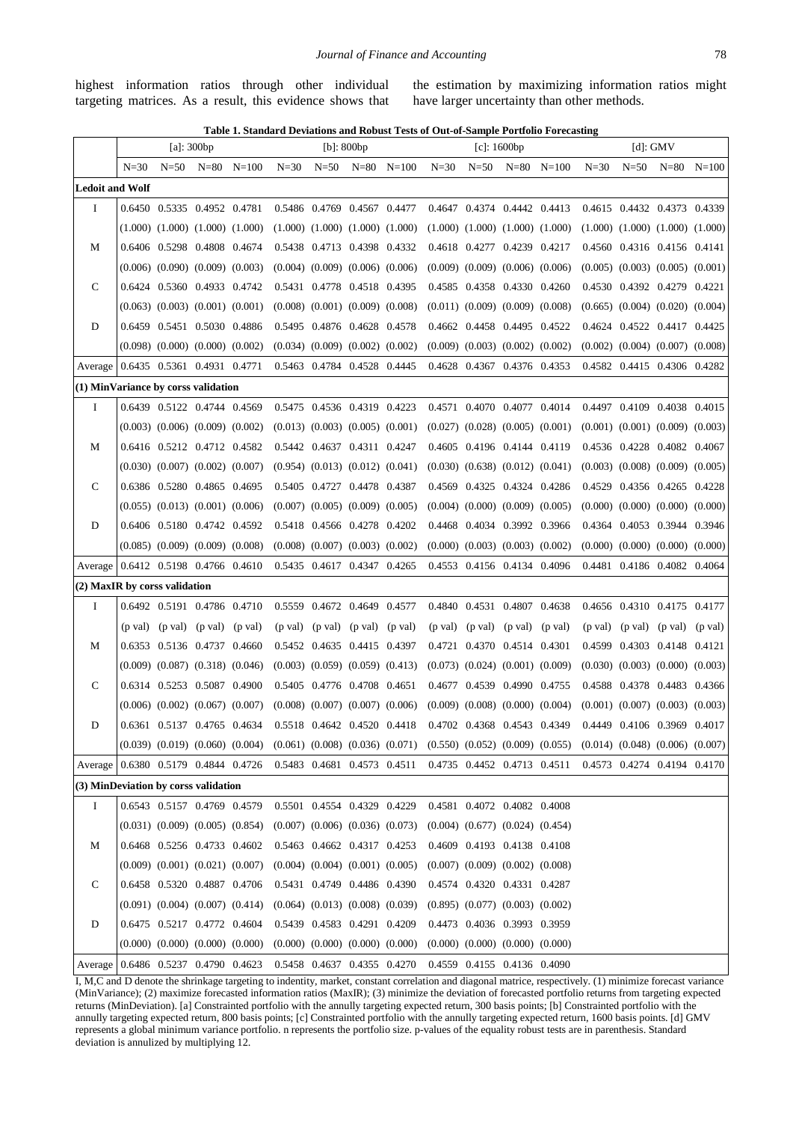highest information ratios through other individual targeting matrices. As a result, this evidence shows that the estimation by maximizing information ratios might have larger uncertainty than other methods.

**Table 1. Standard Deviations and Robust Tests of Out-of-Sample Portfolio Forecasting**

<span id="page-4-0"></span>

|                                      |                   |          | [a]: $300bp$                            |                                                                                                                                                                 | $[b]$ : 800bp               |                                         |                                                       |  |          |          | $[c]$ : 1600bp                          |                | $[d]$ : GMV |                                         |                                     |                |
|--------------------------------------|-------------------|----------|-----------------------------------------|-----------------------------------------------------------------------------------------------------------------------------------------------------------------|-----------------------------|-----------------------------------------|-------------------------------------------------------|--|----------|----------|-----------------------------------------|----------------|-------------|-----------------------------------------|-------------------------------------|----------------|
|                                      | $N=30$            | $N = 50$ | $N = 80$ $N = 100$                      |                                                                                                                                                                 | $N=30$                      | $N = 50$                                | $N=80$ $N=100$                                        |  | $N = 30$ | $N = 50$ |                                         | $N=80$ $N=100$ | $N = 30$    | $N = 50$                                |                                     | $N=80$ $N=100$ |
| <b>Ledoit and Wolf</b>               |                   |          |                                         |                                                                                                                                                                 |                             |                                         |                                                       |  |          |          |                                         |                |             |                                         |                                     |                |
| Ι.                                   |                   |          | 0.6450 0.5335 0.4952 0.4781             |                                                                                                                                                                 |                             | 0.5486 0.4769 0.4567 0.4477             |                                                       |  |          |          | 0.4647 0.4374 0.4442 0.4413             |                |             | 0.4615 0.4432 0.4373 0.4339             |                                     |                |
|                                      |                   |          | $(1.000)$ $(1.000)$ $(1.000)$ $(1.000)$ |                                                                                                                                                                 |                             | $(1.000)$ $(1.000)$ $(1.000)$ $(1.000)$ |                                                       |  |          |          | $(1.000)$ $(1.000)$ $(1.000)$ $(1.000)$ |                |             | $(1.000)$ $(1.000)$ $(1.000)$ $(1.000)$ |                                     |                |
| М                                    |                   |          | 0.6406 0.5298 0.4808 0.4674             |                                                                                                                                                                 |                             | 0.5438 0.4713 0.4398 0.4332             |                                                       |  |          |          | 0.4618 0.4277 0.4239 0.4217             |                |             | 0.4560 0.4316 0.4156 0.4141             |                                     |                |
|                                      |                   |          | $(0.006)$ $(0.090)$ $(0.009)$ $(0.003)$ |                                                                                                                                                                 |                             | $(0.004)$ $(0.009)$ $(0.006)$ $(0.006)$ |                                                       |  |          |          | $(0.009)$ $(0.009)$ $(0.006)$ $(0.006)$ |                |             | $(0.005)$ $(0.003)$ $(0.005)$ $(0.001)$ |                                     |                |
| C                                    |                   |          | 0.6424 0.5360 0.4933 0.4742             |                                                                                                                                                                 |                             | 0.5431 0.4778 0.4518 0.4395             |                                                       |  |          |          | 0.4585 0.4358 0.4330 0.4260             |                |             | 0.4530 0.4392 0.4279 0.4221             |                                     |                |
|                                      |                   |          | $(0.063)$ $(0.003)$ $(0.001)$ $(0.001)$ |                                                                                                                                                                 |                             | $(0.008)$ $(0.001)$ $(0.009)$ $(0.008)$ |                                                       |  |          |          | $(0.011)$ $(0.009)$ $(0.009)$ $(0.008)$ |                |             | $(0.665)$ $(0.004)$ $(0.020)$ $(0.004)$ |                                     |                |
| D                                    |                   |          | 0.6459 0.5451 0.5030 0.4886             |                                                                                                                                                                 |                             | 0.5495 0.4876 0.4628 0.4578             |                                                       |  |          |          | 0.4662 0.4458 0.4495 0.4522             |                |             | 0.4624 0.4522 0.4417 0.4425             |                                     |                |
|                                      |                   |          | $(0.098)$ $(0.000)$ $(0.000)$ $(0.002)$ |                                                                                                                                                                 |                             | $(0.034)$ $(0.009)$ $(0.002)$ $(0.002)$ |                                                       |  |          |          | $(0.009)$ $(0.003)$ $(0.002)$ $(0.002)$ |                |             | $(0.002)$ $(0.004)$ $(0.007)$ $(0.008)$ |                                     |                |
| Average                              |                   |          | 0.6435 0.5361 0.4931 0.4771             |                                                                                                                                                                 |                             | 0.5463 0.4784 0.4528 0.4445             |                                                       |  |          |          | 0.4628 0.4367 0.4376 0.4353             |                |             | 0.4582 0.4415 0.4306 0.4282             |                                     |                |
| (1) MinVariance by corss validation  |                   |          |                                         |                                                                                                                                                                 |                             |                                         |                                                       |  |          |          |                                         |                |             |                                         |                                     |                |
| Ι.                                   |                   |          | 0.6439 0.5122 0.4744 0.4569             |                                                                                                                                                                 |                             | 0.5475 0.4536 0.4319 0.4223             |                                                       |  |          |          | 0.4571 0.4070 0.4077 0.4014             |                |             | 0.4497 0.4109 0.4038 0.4015             |                                     |                |
|                                      |                   |          | $(0.003)$ $(0.006)$ $(0.009)$ $(0.002)$ |                                                                                                                                                                 |                             | $(0.013)$ $(0.003)$ $(0.005)$ $(0.001)$ |                                                       |  |          |          | $(0.027)$ $(0.028)$ $(0.005)$ $(0.001)$ |                |             | $(0.001)$ $(0.001)$ $(0.009)$ $(0.003)$ |                                     |                |
| M                                    |                   |          | 0.6416 0.5212 0.4712 0.4582             |                                                                                                                                                                 |                             | 0.5442 0.4637 0.4311 0.4247             |                                                       |  |          |          | 0.4605 0.4196 0.4144 0.4119             |                |             | 0.4536 0.4228 0.4082 0.4067             |                                     |                |
|                                      |                   |          | $(0.030)$ $(0.007)$ $(0.002)$ $(0.007)$ |                                                                                                                                                                 |                             | $(0.954)$ $(0.013)$ $(0.012)$ $(0.041)$ |                                                       |  |          |          | $(0.030)$ $(0.638)$ $(0.012)$ $(0.041)$ |                |             | $(0.003)$ $(0.008)$ $(0.009)$ $(0.005)$ |                                     |                |
| C                                    |                   |          | 0.6386 0.5280 0.4865 0.4695             |                                                                                                                                                                 |                             | 0.5405 0.4727 0.4478 0.4387             |                                                       |  |          |          | 0.4569 0.4325 0.4324 0.4286             |                |             | 0.4529 0.4356 0.4265 0.4228             |                                     |                |
|                                      |                   |          | $(0.055)$ $(0.013)$ $(0.001)$ $(0.006)$ |                                                                                                                                                                 |                             | $(0.007)$ $(0.005)$ $(0.009)$ $(0.005)$ |                                                       |  |          |          | $(0.004)$ $(0.000)$ $(0.009)$ $(0.005)$ |                |             | $(0.000)$ $(0.000)$ $(0.000)$ $(0.000)$ |                                     |                |
| D                                    |                   |          | 0.6406 0.5180 0.4742 0.4592             |                                                                                                                                                                 |                             | 0.5418 0.4566 0.4278 0.4202             |                                                       |  |          |          | 0.4468 0.4034 0.3992 0.3966             |                |             | 0.4364 0.4053 0.3944 0.3946             |                                     |                |
|                                      |                   |          | $(0.085)$ $(0.009)$ $(0.009)$ $(0.008)$ |                                                                                                                                                                 |                             | $(0.008)$ $(0.007)$ $(0.003)$ $(0.002)$ |                                                       |  |          |          | $(0.000)$ $(0.003)$ $(0.003)$ $(0.002)$ |                |             | $(0.000)$ $(0.000)$ $(0.000)$ $(0.000)$ |                                     |                |
| Average                              |                   |          | 0.6412 0.5198 0.4766 0.4610             |                                                                                                                                                                 |                             | 0.5435 0.4617 0.4347 0.4265             |                                                       |  |          |          | 0.4553 0.4156 0.4134 0.4096             |                |             | 0.4481 0.4186 0.4082 0.4064             |                                     |                |
| (2) MaxIR by corss validation        |                   |          |                                         |                                                                                                                                                                 |                             |                                         |                                                       |  |          |          |                                         |                |             |                                         |                                     |                |
| Ι.                                   |                   |          | 0.6492 0.5191 0.4786 0.4710             |                                                                                                                                                                 |                             | 0.5559 0.4672 0.4649 0.4577             |                                                       |  |          |          | 0.4840 0.4531 0.4807 0.4638             |                |             | 0.4656 0.4310 0.4175 0.4177             |                                     |                |
|                                      | $(p \text{ val})$ |          | $(p \text{ val})$ $(p \text{ val})$     | (p val)                                                                                                                                                         | (p val)                     |                                         | $(p \text{ val})$ $(p \text{ val})$ $(p \text{ val})$ |  | (p val)  | (p val)  | (p val)                                 | (p val)        | (p val)     |                                         | $(p \text{ val})$ $(p \text{ val})$ | (p val)        |
| М                                    |                   |          | 0.6353 0.5136 0.4737 0.4660             |                                                                                                                                                                 |                             | 0.5452 0.4635 0.4415 0.4397             |                                                       |  |          |          | 0.4721 0.4370 0.4514 0.4301             |                |             | 0.4599 0.4303 0.4148 0.4121             |                                     |                |
|                                      |                   |          | $(0.009)$ $(0.087)$ $(0.318)$ $(0.046)$ |                                                                                                                                                                 |                             | $(0.003)$ $(0.059)$ $(0.059)$ $(0.413)$ |                                                       |  |          |          | $(0.073)$ $(0.024)$ $(0.001)$ $(0.009)$ |                |             | $(0.030)$ $(0.003)$ $(0.000)$ $(0.003)$ |                                     |                |
| C                                    |                   |          | 0.6314 0.5253 0.5087 0.4900             |                                                                                                                                                                 |                             | 0.5405 0.4776 0.4708 0.4651             |                                                       |  |          |          | 0.4677 0.4539 0.4990 0.4755             |                |             | 0.4588 0.4378 0.4483 0.4366             |                                     |                |
|                                      |                   |          | $(0.006)$ $(0.002)$ $(0.067)$ $(0.007)$ |                                                                                                                                                                 |                             | $(0.008)$ $(0.007)$ $(0.007)$ $(0.006)$ |                                                       |  |          |          | $(0.009)$ $(0.008)$ $(0.000)$ $(0.004)$ |                |             | $(0.001)$ $(0.007)$ $(0.003)$ $(0.003)$ |                                     |                |
| D                                    |                   |          | 0.6361 0.5137 0.4765 0.4634             |                                                                                                                                                                 |                             | 0.5518 0.4642 0.4520 0.4418             |                                                       |  |          |          | 0.4702 0.4368 0.4543 0.4349             |                |             | 0.4449 0.4106 0.3969                    |                                     | 0.4017         |
|                                      |                   |          |                                         | $(0.039)$ $(0.019)$ $(0.060)$ $(0.004)$ $(0.061)$ $(0.008)$ $(0.036)$ $(0.071)$ $(0.550)$ $(0.052)$ $(0.009)$ $(0.055)$ $(0.014)$ $(0.048)$ $(0.006)$ $(0.007)$ |                             |                                         |                                                       |  |          |          |                                         |                |             |                                         |                                     |                |
| Average                              |                   |          |                                         | 0.6380 0.5179 0.4844 0.4726                                                                                                                                     | 0.5483 0.4681 0.4573 0.4511 |                                         |                                                       |  |          |          | 0.4735 0.4452 0.4713 0.4511             |                |             | 0.4573 0.4274 0.4194 0.4170             |                                     |                |
| (3) MinDeviation by corss validation |                   |          |                                         |                                                                                                                                                                 |                             |                                         |                                                       |  |          |          |                                         |                |             |                                         |                                     |                |
| $\bf{I}$                             |                   |          | 0.6543 0.5157 0.4769 0.4579             |                                                                                                                                                                 |                             | 0.5501 0.4554 0.4329 0.4229             |                                                       |  |          |          | 0.4581 0.4072 0.4082 0.4008             |                |             |                                         |                                     |                |
|                                      |                   |          | $(0.031)$ $(0.009)$ $(0.005)$ $(0.854)$ |                                                                                                                                                                 |                             | $(0.007)$ $(0.006)$ $(0.036)$ $(0.073)$ |                                                       |  |          |          | $(0.004)$ $(0.677)$ $(0.024)$ $(0.454)$ |                |             |                                         |                                     |                |
| М                                    |                   |          | 0.6468 0.5256 0.4733 0.4602             |                                                                                                                                                                 |                             | 0.5463 0.4662 0.4317 0.4253             |                                                       |  |          |          | 0.4609 0.4193 0.4138 0.4108             |                |             |                                         |                                     |                |
|                                      |                   |          | $(0.009)$ $(0.001)$ $(0.021)$ $(0.007)$ |                                                                                                                                                                 |                             | $(0.004)$ $(0.004)$ $(0.001)$ $(0.005)$ |                                                       |  |          |          | $(0.007)$ $(0.009)$ $(0.002)$ $(0.008)$ |                |             |                                         |                                     |                |
| C                                    |                   |          | 0.6458 0.5320 0.4887 0.4706             |                                                                                                                                                                 |                             | 0.5431 0.4749 0.4486 0.4390             |                                                       |  |          |          | 0.4574 0.4320 0.4331 0.4287             |                |             |                                         |                                     |                |
|                                      |                   |          | $(0.091)$ $(0.004)$ $(0.007)$ $(0.414)$ |                                                                                                                                                                 |                             | $(0.064)$ $(0.013)$ $(0.008)$ $(0.039)$ |                                                       |  |          |          | $(0.895)$ $(0.077)$ $(0.003)$ $(0.002)$ |                |             |                                         |                                     |                |
| D                                    |                   |          | 0.6475 0.5217 0.4772 0.4604             |                                                                                                                                                                 |                             | 0.5439 0.4583 0.4291 0.4209             |                                                       |  |          |          | 0.4473 0.4036 0.3993 0.3959             |                |             |                                         |                                     |                |
|                                      |                   |          |                                         | $(0.000)$ $(0.000)$ $(0.000)$ $(0.000)$                                                                                                                         |                             | $(0.000)$ $(0.000)$ $(0.000)$ $(0.000)$ |                                                       |  |          |          | $(0.000)$ $(0.000)$ $(0.000)$ $(0.000)$ |                |             |                                         |                                     |                |
| Average                              |                   |          | 0.6486 0.5237 0.4790 0.4623             |                                                                                                                                                                 |                             | 0.5458 0.4637 0.4355 0.4270             |                                                       |  |          |          | 0.4559 0.4155 0.4136 0.4090             |                |             |                                         |                                     |                |

I, M,C and D denote the shrinkage targeting to indentity, market, constant correlation and diagonal matrice, respectively. (1) minimize forecast variance (MinVariance); (2) maximize forecasted information ratios (MaxIR); (3) minimize the deviation of forecasted portfolio returns from targeting expected returns (MinDeviation). [a] Constrainted portfolio with the annully targeting expected return, 300 basis points; [b] Constrainted portfolio with the annully targeting expected return, 800 basis points; [c] Constrainted portfolio with the annully targeting expected return, 1600 basis points. [d] GMV represents a global minimum variance portfolio. n represents the portfolio size. p-values of the equality robust tests are in parenthesis. Standard deviation is annulized by multiplying 12.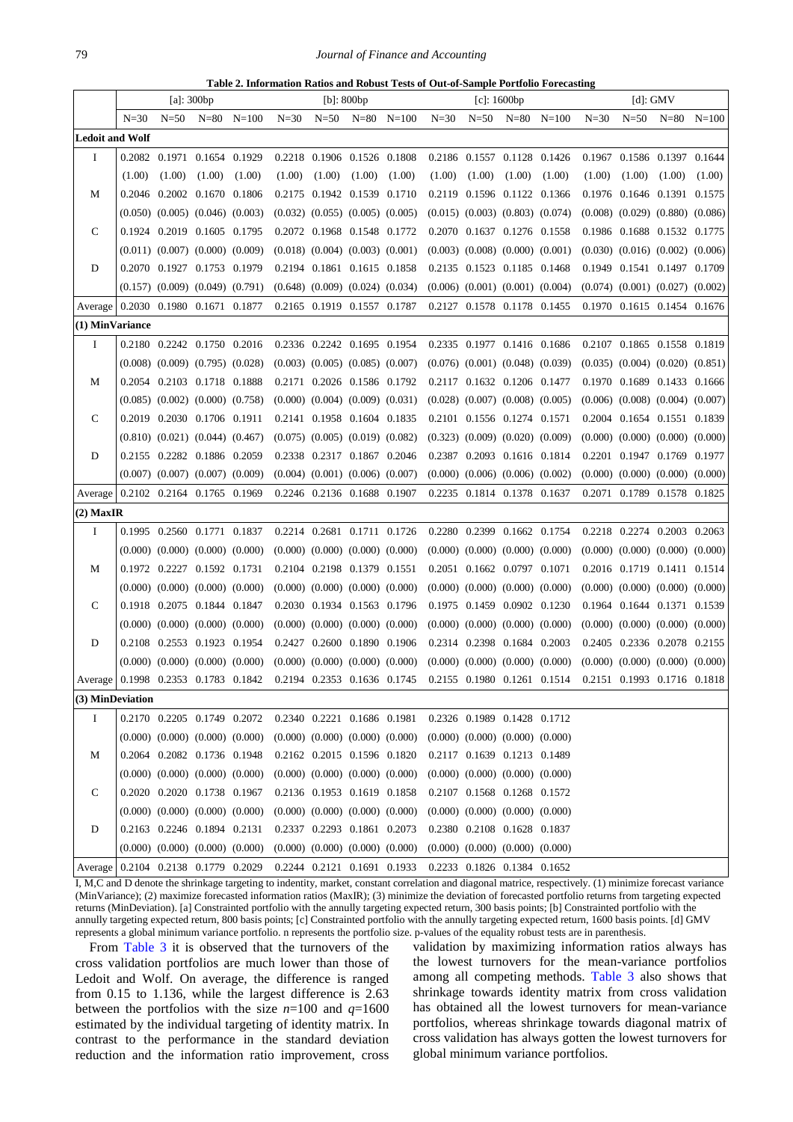#### 79 *Journal of Finance and Accounting*

**Table 2. Information Ratios and Robust Tests of Out-of-Sample Portfolio Forecasting**

<span id="page-5-0"></span>

|                        |          |          | [a]: $300bp$                            |                |        |                                         | $[b]$ : 800bp |                |        |          | $[c]$ : 1600bp                          |                | [d]: GMV |                                         |                               |                                         |
|------------------------|----------|----------|-----------------------------------------|----------------|--------|-----------------------------------------|---------------|----------------|--------|----------|-----------------------------------------|----------------|----------|-----------------------------------------|-------------------------------|-----------------------------------------|
|                        | $N = 30$ | $N = 50$ |                                         | $N=80$ $N=100$ | $N=30$ | $N = 50$                                |               | $N=80$ $N=100$ | $N=30$ | $N = 50$ |                                         | $N=80$ $N=100$ | $N=30$   | $N = 50$                                |                               | $N=80$ $N=100$                          |
| <b>Ledoit and Wolf</b> |          |          |                                         |                |        |                                         |               |                |        |          |                                         |                |          |                                         |                               |                                         |
| Ι.                     |          |          | 0.2082 0.1971 0.1654 0.1929             |                |        | 0.2218 0.1906 0.1526 0.1808             |               |                |        |          | 0.2186 0.1557 0.1128 0.1426             |                |          | 0.1967 0.1586 0.1397 0.1644             |                               |                                         |
|                        | (1.00)   | (1.00)   | (1.00)                                  | (1.00)         | (1.00) | (1.00)                                  | (1.00)        | (1.00)         | (1.00) | (1.00)   | (1.00)                                  | (1.00)         | (1.00)   | (1.00)                                  | (1.00)                        | (1.00)                                  |
| М                      |          |          | 0.2046 0.2002 0.1670 0.1806             |                |        | 0.2175 0.1942 0.1539 0.1710             |               |                |        |          | 0.2119 0.1596 0.1122 0.1366             |                |          | 0.1976 0.1646 0.1391 0.1575             |                               |                                         |
|                        |          |          | $(0.050)$ $(0.005)$ $(0.046)$ $(0.003)$ |                |        | $(0.032)$ $(0.055)$ $(0.005)$ $(0.005)$ |               |                |        |          | $(0.015)$ $(0.003)$ $(0.803)$ $(0.074)$ |                | (0.008)  |                                         | $(0.029)$ $(0.880)$ $(0.086)$ |                                         |
| C                      |          |          | 0.1924 0.2019 0.1605 0.1795             |                |        | 0.2072 0.1968 0.1548 0.1772             |               |                |        |          | 0.2070 0.1637 0.1276 0.1558             |                |          | 0.1986 0.1688 0.1532 0.1775             |                               |                                         |
|                        |          |          | $(0.011)$ $(0.007)$ $(0.000)$ $(0.009)$ |                |        | $(0.018)$ $(0.004)$ $(0.003)$ $(0.001)$ |               |                |        |          | $(0.003)$ $(0.008)$ $(0.000)$ $(0.001)$ |                |          | $(0.030)$ $(0.016)$ $(0.002)$ $(0.006)$ |                               |                                         |
| D                      |          |          | 0.2070 0.1927 0.1753 0.1979             |                |        | 0.2194 0.1861 0.1615 0.1858             |               |                |        |          | 0.2135 0.1523 0.1185 0.1468             |                |          | 0.1949 0.1541 0.1497 0.1709             |                               |                                         |
|                        |          |          | $(0.157)$ $(0.009)$ $(0.049)$ $(0.791)$ |                |        | $(0.648)$ $(0.009)$ $(0.024)$ $(0.034)$ |               |                |        |          | $(0.006)$ $(0.001)$ $(0.001)$ $(0.004)$ |                |          | $(0.074)$ $(0.001)$ $(0.027)$ $(0.002)$ |                               |                                         |
| Average                |          |          | 0.2030 0.1980 0.1671 0.1877             |                |        | 0.2165 0.1919 0.1557 0.1787             |               |                |        |          | 0.2127 0.1578 0.1178 0.1455             |                |          | 0.1970 0.1615 0.1454 0.1676             |                               |                                         |
| (1) MinVariance        |          |          |                                         |                |        |                                         |               |                |        |          |                                         |                |          |                                         |                               |                                         |
| I                      |          |          | 0.2180 0.2242 0.1750 0.2016             |                |        | 0.2336 0.2242 0.1695 0.1954             |               |                |        |          | 0.2335 0.1977 0.1416 0.1686             |                |          | 0.2107 0.1865 0.1558 0.1819             |                               |                                         |
|                        |          |          | $(0.008)$ $(0.009)$ $(0.795)$ $(0.028)$ |                |        | $(0.003)$ $(0.005)$ $(0.085)$ $(0.007)$ |               |                |        |          | $(0.076)$ $(0.001)$ $(0.048)$ $(0.039)$ |                |          |                                         |                               | $(0.035)$ $(0.004)$ $(0.020)$ $(0.851)$ |
| М                      |          |          | 0.2054 0.2103 0.1718 0.1888             |                |        | 0.2171 0.2026 0.1586 0.1792             |               |                |        |          | 0.2117 0.1632 0.1206 0.1477             |                |          | 0.1970 0.1689 0.1433 0.1666             |                               |                                         |
|                        |          |          | $(0.085)$ $(0.002)$ $(0.000)$ $(0.758)$ |                |        | $(0.000)$ $(0.004)$ $(0.009)$ $(0.031)$ |               |                |        |          | $(0.028)$ $(0.007)$ $(0.008)$ $(0.005)$ |                |          |                                         |                               | $(0.006)$ $(0.008)$ $(0.004)$ $(0.007)$ |
| C                      |          |          | 0.2019 0.2030 0.1706 0.1911             |                |        | 0.2141 0.1958 0.1604 0.1835             |               |                |        |          | 0.2101 0.1556 0.1274 0.1571             |                | 0.2004   |                                         | 0.1654 0.1551 0.1839          |                                         |
|                        |          |          | $(0.810)$ $(0.021)$ $(0.044)$ $(0.467)$ |                |        | $(0.075)$ $(0.005)$ $(0.019)$ $(0.082)$ |               |                |        |          | $(0.323)$ $(0.009)$ $(0.020)$ $(0.009)$ |                |          | $(0.000)$ $(0.000)$ $(0.000)$ $(0.000)$ |                               |                                         |
| D                      |          |          | 0.2155 0.2282 0.1886 0.2059             |                |        | 0.2338 0.2317 0.1867 0.2046             |               |                |        |          | 0.2387 0.2093 0.1616 0.1814             |                |          | 0.2201 0.1947 0.1769 0.1977             |                               |                                         |
|                        |          |          | $(0.007)$ $(0.007)$ $(0.007)$ $(0.009)$ |                |        | $(0.004)$ $(0.001)$ $(0.006)$ $(0.007)$ |               |                |        |          | $(0.000)$ $(0.006)$ $(0.006)$ $(0.002)$ |                |          | $(0.000)$ $(0.000)$ $(0.000)$ $(0.000)$ |                               |                                         |
| Average                |          |          | 0.2102 0.2164 0.1765 0.1969             |                |        | 0.2246 0.2136 0.1688 0.1907             |               |                |        |          | 0.2235 0.1814 0.1378 0.1637             |                |          | 0.2071 0.1789 0.1578 0.1825             |                               |                                         |
| $(2)$ MaxIR            |          |          |                                         |                |        |                                         |               |                |        |          |                                         |                |          |                                         |                               |                                         |
| Ι.                     |          |          | 0.1995 0.2560 0.1771 0.1837             |                |        | 0.2214 0.2681 0.1711 0.1726             |               |                |        |          | 0.2280 0.2399 0.1662 0.1754             |                |          | 0.2218 0.2274 0.2003 0.2063             |                               |                                         |
|                        |          |          | $(0.000)$ $(0.000)$ $(0.000)$ $(0.000)$ |                |        | $(0.000)$ $(0.000)$ $(0.000)$ $(0.000)$ |               |                |        |          | $(0.000)$ $(0.000)$ $(0.000)$ $(0.000)$ |                |          | $(0.000)$ $(0.000)$ $(0.000)$ $(0.000)$ |                               |                                         |
| М                      |          |          | 0.1972 0.2227 0.1592 0.1731             |                |        | 0.2104 0.2198 0.1379 0.1551             |               |                |        |          | 0.2051 0.1662 0.0797 0.1071             |                |          | 0.2016 0.1719 0.1411 0.1514             |                               |                                         |
|                        |          |          | $(0.000)$ $(0.000)$ $(0.000)$ $(0.000)$ |                |        | $(0.000)$ $(0.000)$ $(0.000)$ $(0.000)$ |               |                |        |          | $(0.000)$ $(0.000)$ $(0.000)$ $(0.000)$ |                |          | $(0.000)$ $(0.000)$ $(0.000)$ $(0.000)$ |                               |                                         |
| C                      |          |          | 0.1918 0.2075 0.1844 0.1847             |                |        | 0.2030 0.1934 0.1563 0.1796             |               |                |        |          | 0.1975 0.1459 0.0902 0.1230             |                |          | 0.1964 0.1644 0.1371 0.1539             |                               |                                         |
|                        |          |          | $(0.000)$ $(0.000)$ $(0.000)$ $(0.000)$ |                |        | $(0.000)$ $(0.000)$ $(0.000)$ $(0.000)$ |               |                |        |          | $(0.000)$ $(0.000)$ $(0.000)$ $(0.000)$ |                |          | $(0.000)$ $(0.000)$ $(0.000)$ $(0.000)$ |                               |                                         |
| D                      |          |          | 0.2108 0.2553 0.1923 0.1954             |                |        | 0.2427 0.2600 0.1890 0.1906             |               |                |        |          | 0.2314 0.2398 0.1684 0.2003             |                |          | 0.2405 0.2336 0.2078 0.2155             |                               |                                         |
|                        |          |          | $(0.000)$ $(0.000)$ $(0.000)$ $(0.000)$ |                |        | $(0.000)$ $(0.000)$ $(0.000)$ $(0.000)$ |               |                |        |          | $(0.000)$ $(0.000)$ $(0.000)$ $(0.000)$ |                |          | $(0.000)$ $(0.000)$ $(0.000)$ $(0.000)$ |                               |                                         |
| Average                |          |          | 0.1998 0.2353 0.1783 0.1842             |                |        | 0.2194 0.2353 0.1636 0.1745             |               |                |        |          | 0.2155 0.1980 0.1261 0.1514             |                |          | 0.2151 0.1993 0.1716 0.1818             |                               |                                         |
| (3) MinDeviation       |          |          |                                         |                |        |                                         |               |                |        |          |                                         |                |          |                                         |                               |                                         |
| Ι.                     |          |          | 0.2170 0.2205 0.1749 0.2072             |                |        | 0.2340 0.2221 0.1686 0.1981             |               |                |        |          | 0.2326 0.1989 0.1428 0.1712             |                |          |                                         |                               |                                         |
|                        |          |          | $(0.000)$ $(0.000)$ $(0.000)$ $(0.000)$ |                |        | $(0.000)$ $(0.000)$ $(0.000)$ $(0.000)$ |               |                |        |          | $(0.000)$ $(0.000)$ $(0.000)$ $(0.000)$ |                |          |                                         |                               |                                         |
| M                      |          |          | 0.2064 0.2082 0.1736 0.1948             |                |        | 0.2162 0.2015 0.1596 0.1820             |               |                |        |          | 0.2117 0.1639 0.1213 0.1489             |                |          |                                         |                               |                                         |
|                        |          |          | $(0.000)$ $(0.000)$ $(0.000)$ $(0.000)$ |                |        | $(0.000)$ $(0.000)$ $(0.000)$ $(0.000)$ |               |                |        |          | $(0.000)$ $(0.000)$ $(0.000)$ $(0.000)$ |                |          |                                         |                               |                                         |
| C                      |          |          | 0.2020 0.2020 0.1738 0.1967             |                |        | 0.2136 0.1953 0.1619 0.1858             |               |                |        |          | 0.2107 0.1568 0.1268 0.1572             |                |          |                                         |                               |                                         |
|                        |          |          | $(0.000)$ $(0.000)$ $(0.000)$ $(0.000)$ |                |        | $(0.000)$ $(0.000)$ $(0.000)$ $(0.000)$ |               |                |        |          | $(0.000)$ $(0.000)$ $(0.000)$ $(0.000)$ |                |          |                                         |                               |                                         |
| D                      |          |          | 0.2163 0.2246 0.1894 0.2131             |                |        | 0.2337 0.2293 0.1861 0.2073             |               |                |        |          | 0.2380 0.2108 0.1628 0.1837             |                |          |                                         |                               |                                         |
|                        |          |          | $(0.000)$ $(0.000)$ $(0.000)$ $(0.000)$ |                |        | $(0.000)$ $(0.000)$ $(0.000)$ $(0.000)$ |               |                |        |          | $(0.000)$ $(0.000)$ $(0.000)$ $(0.000)$ |                |          |                                         |                               |                                         |
| Average                |          |          | 0.2104 0.2138 0.1779 0.2029             |                |        | 0.2244 0.2121 0.1691 0.1933             |               |                |        |          | 0.2233 0.1826 0.1384 0.1652             |                |          |                                         |                               |                                         |

I, M,C and D denote the shrinkage targeting to indentity, market, constant correlation and diagonal matrice, respectively. (1) minimize forecast variance (MinVariance); (2) maximize forecasted information ratios (MaxIR); (3) minimize the deviation of forecasted portfolio returns from targeting expected returns (MinDeviation). [a] Constrainted portfolio with the annully targeting expected return, 300 basis points; [b] Constrainted portfolio with the annully targeting expected return, 800 basis points; [c] Constrainted portfolio with the annully targeting expected return, 1600 basis points. [d] GMV represents a global minimum variance portfolio. n represents the portfolio size. p-values of the equality robust tests are in parenthesis.

From [Table 3](#page-6-0) it is observed that the turnovers of the cross validation portfolios are much lower than those of Ledoit and Wolf. On average, the difference is ranged from 0.15 to 1.136, while the largest difference is 2.63 between the portfolios with the size  $n=100$  and  $q=1600$ estimated by the individual targeting of identity matrix. In contrast to the performance in the standard deviation reduction and the information ratio improvement, cross

validation by maximizing information ratios always has the lowest turnovers for the mean-variance portfolios among all competing methods. [Table 3](#page-6-0) also shows that shrinkage towards identity matrix from cross validation has obtained all the lowest turnovers for mean-variance portfolios, whereas shrinkage towards diagonal matrix of cross validation has always gotten the lowest turnovers for global minimum variance portfolios.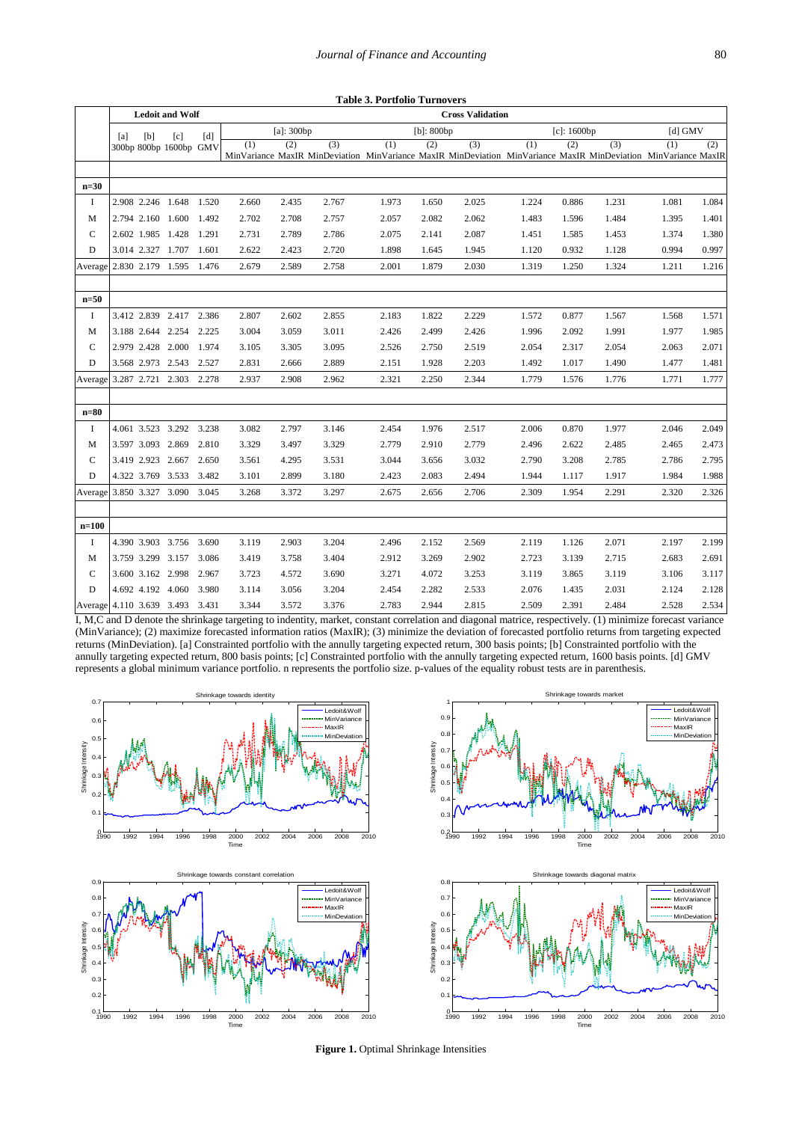| I            | ۹              |
|--------------|----------------|
| ł<br>I<br>۰. | ٦<br>. .<br>۰, |

<span id="page-6-0"></span>

|                                 |     |                   |                         |       |               |       |       | <b>Table 3. Portfolio Turnovers</b> |               |                                                                                                                       |       |                |           |       |       |
|---------------------------------|-----|-------------------|-------------------------|-------|---------------|-------|-------|-------------------------------------|---------------|-----------------------------------------------------------------------------------------------------------------------|-------|----------------|-----------|-------|-------|
|                                 |     |                   | <b>Ledoit and Wolf</b>  |       |               |       |       |                                     |               |                                                                                                                       |       |                |           |       |       |
|                                 | [a] | [b]               | [c]                     | [d]   | $[a]$ : 300bp |       |       |                                     | $[b]$ : 800bp |                                                                                                                       |       | $[c]$ : 1600bp | [d] $GMV$ |       |       |
|                                 |     |                   | 300bp 800bp 1600bp GMV  |       | (1)           | (2)   | (3)   | (1)                                 | (2)           | (3)<br>MinVariance MaxIR MinDeviation MinVariance MaxIR MinDeviation MinVariance MaxIR MinDeviation MinVariance MaxIR | (1)   | (2)            | (3)       | (1)   | (2)   |
| $n=30$                          |     |                   |                         |       |               |       |       |                                     |               |                                                                                                                       |       |                |           |       |       |
| I                               |     |                   | 2.908 2.246 1.648 1.520 |       | 2.660         | 2.435 | 2.767 | 1.973                               | 1.650         | 2.025                                                                                                                 | 1.224 | 0.886          | 1.231     | 1.081 | 1.084 |
| M                               |     |                   | 2.794 2.160 1.600       | 1.492 | 2.702         | 2.708 | 2.757 | 2.057                               | 2.082         | 2.062                                                                                                                 | 1.483 | 1.596          | 1.484     | 1.395 | 1.401 |
| C                               |     |                   | 2.602 1.985 1.428 1.291 |       | 2.731         | 2.789 | 2.786 | 2.075                               | 2.141         | 2.087                                                                                                                 | 1.451 | 1.585          | 1.453     | 1.374 | 1.380 |
| D                               |     |                   | 3.014 2.327 1.707 1.601 |       | 2.622         | 2.423 | 2.720 | 1.898                               | 1.645         | 1.945                                                                                                                 | 1.120 | 0.932          | 1.128     | 0.994 | 0.997 |
| Average 2.830 2.179 1.595 1.476 |     |                   |                         |       | 2.679         | 2.589 | 2.758 | 2.001                               | 1.879         | 2.030                                                                                                                 | 1.319 | 1.250          | 1.324     | 1.211 | 1.216 |
| $n=50$                          |     |                   |                         |       |               |       |       |                                     |               |                                                                                                                       |       |                |           |       |       |
| I                               |     |                   | 3.412 2.839 2.417 2.386 |       | 2.807         | 2.602 | 2.855 | 2.183                               | 1.822         | 2.229                                                                                                                 | 1.572 | 0.877          | 1.567     | 1.568 | 1.571 |
| M                               |     |                   | 3.188 2.644 2.254 2.225 |       | 3.004         | 3.059 | 3.011 | 2.426                               | 2.499         | 2.426                                                                                                                 | 1.996 | 2.092          | 1.991     | 1.977 | 1.985 |
| C                               |     |                   | 2.979 2.428 2.000 1.974 |       | 3.105         | 3.305 | 3.095 | 2.526                               | 2.750         | 2.519                                                                                                                 | 2.054 | 2.317          | 2.054     | 2.063 | 2.071 |
| D                               |     |                   | 3.568 2.973 2.543 2.527 |       | 2.831         | 2.666 | 2.889 | 2.151                               | 1.928         | 2.203                                                                                                                 | 1.492 | 1.017          | 1.490     | 1.477 | 1.481 |
| Average 3.287 2.721 2.303 2.278 |     |                   |                         |       | 2.937         | 2.908 | 2.962 | 2.321                               | 2.250         | 2.344                                                                                                                 | 1.779 | 1.576          | 1.776     | 1.771 | 1.777 |
| $n=80$                          |     |                   |                         |       |               |       |       |                                     |               |                                                                                                                       |       |                |           |       |       |
| <b>I</b>                        |     |                   | 4.061 3.523 3.292 3.238 |       | 3.082         | 2.797 | 3.146 | 2.454                               | 1.976         | 2.517                                                                                                                 | 2.006 | 0.870          | 1.977     | 2.046 | 2.049 |
| M                               |     | 3.597 3.093 2.869 |                         | 2.810 | 3.329         | 3.497 | 3.329 | 2.779                               | 2.910         | 2.779                                                                                                                 | 2.496 | 2.622          | 2.485     | 2.465 | 2.473 |
| C                               |     |                   | 3.419 2.923 2.667 2.650 |       | 3.561         | 4.295 | 3.531 | 3.044                               | 3.656         | 3.032                                                                                                                 | 2.790 | 3.208          | 2.785     | 2.786 | 2.795 |
| D                               |     |                   | 4.322 3.769 3.533 3.482 |       | 3.101         | 2.899 | 3.180 | 2.423                               | 2.083         | 2.494                                                                                                                 | 1.944 | 1.117          | 1.917     | 1.984 | 1.988 |
| Average 3.850 3.327 3.090       |     |                   |                         | 3.045 | 3.268         | 3.372 | 3.297 | 2.675                               | 2.656         | 2.706                                                                                                                 | 2.309 | 1.954          | 2.291     | 2.320 | 2.326 |
| $n=100$                         |     |                   |                         |       |               |       |       |                                     |               |                                                                                                                       |       |                |           |       |       |
| <b>I</b>                        |     |                   | 4.390 3.903 3.756       | 3.690 | 3.119         | 2.903 | 3.204 | 2.496                               | 2.152         | 2.569                                                                                                                 | 2.119 | 1.126          | 2.071     | 2.197 | 2.199 |
| M                               |     |                   | 3.759 3.299 3.157 3.086 |       | 3.419         | 3.758 | 3.404 | 2.912                               | 3.269         | 2.902                                                                                                                 | 2.723 | 3.139          | 2.715     | 2.683 | 2.691 |
| $\mathbf C$                     |     |                   | 3.600 3.162 2.998 2.967 |       | 3.723         | 4.572 | 3.690 | 3.271                               | 4.072         | 3.253                                                                                                                 | 3.119 | 3.865          | 3.119     | 3.106 | 3.117 |
| D                               |     |                   | 4.692 4.192 4.060       | 3.980 | 3.114         | 3.056 | 3.204 | 2.454                               | 2.282         | 2.533                                                                                                                 | 2.076 | 1.435          | 2.031     | 2.124 | 2.128 |
| Average 4.110 3.639 3.493 3.431 |     |                   |                         |       | 3.344         | 3.572 | 3.376 | 2.783                               | 2.944         | 2.815                                                                                                                 | 2.509 | 2.391          | 2.484     | 2.528 | 2.534 |

I, M,C and D denote the shrinkage targeting to indentity, market, constant correlation and diagonal matrice, respectively. (1) minimize forecast variance (MinVariance); (2) maximize forecasted information ratios (MaxIR); (3) minimize the deviation of forecasted portfolio returns from targeting expected returns (MinDeviation). [a] Constrainted portfolio with the annully targeting expected return, 300 basis points; [b] Constrainted portfolio with the annully targeting expected return, 800 basis points; [c] Constrainted portfolio with the annully targeting expected return, 1600 basis points. [d] GMV represents a global minimum variance portfolio. n represents the portfolio size. p-values of the equality robust tests are in parenthesis.







**Figure 1.** Optimal Shrinkage Intensities